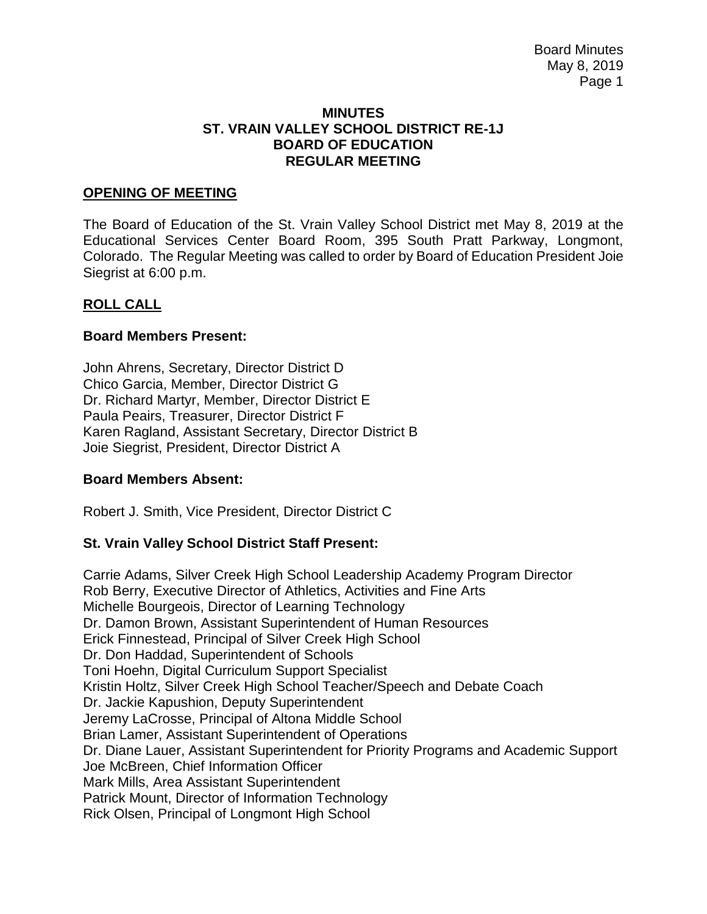#### **MINUTES ST. VRAIN VALLEY SCHOOL DISTRICT RE-1J BOARD OF EDUCATION REGULAR MEETING**

### **OPENING OF MEETING**

The Board of Education of the St. Vrain Valley School District met May 8, 2019 at the Educational Services Center Board Room, 395 South Pratt Parkway, Longmont, Colorado. The Regular Meeting was called to order by Board of Education President Joie Siegrist at 6:00 p.m.

### **ROLL CALL**

### **Board Members Present:**

John Ahrens, Secretary, Director District D Chico Garcia, Member, Director District G Dr. Richard Martyr, Member, Director District E Paula Peairs, Treasurer, Director District F Karen Ragland, Assistant Secretary, Director District B Joie Siegrist, President, Director District A

### **Board Members Absent:**

Robert J. Smith, Vice President, Director District C

## **St. Vrain Valley School District Staff Present:**

Carrie Adams, Silver Creek High School Leadership Academy Program Director Rob Berry, Executive Director of Athletics, Activities and Fine Arts Michelle Bourgeois, Director of Learning Technology Dr. Damon Brown, Assistant Superintendent of Human Resources Erick Finnestead, Principal of Silver Creek High School Dr. Don Haddad, Superintendent of Schools Toni Hoehn, Digital Curriculum Support Specialist Kristin Holtz, Silver Creek High School Teacher/Speech and Debate Coach Dr. Jackie Kapushion, Deputy Superintendent Jeremy LaCrosse, Principal of Altona Middle School Brian Lamer, Assistant Superintendent of Operations Dr. Diane Lauer, Assistant Superintendent for Priority Programs and Academic Support Joe McBreen, Chief Information Officer Mark Mills, Area Assistant Superintendent Patrick Mount, Director of Information Technology Rick Olsen, Principal of Longmont High School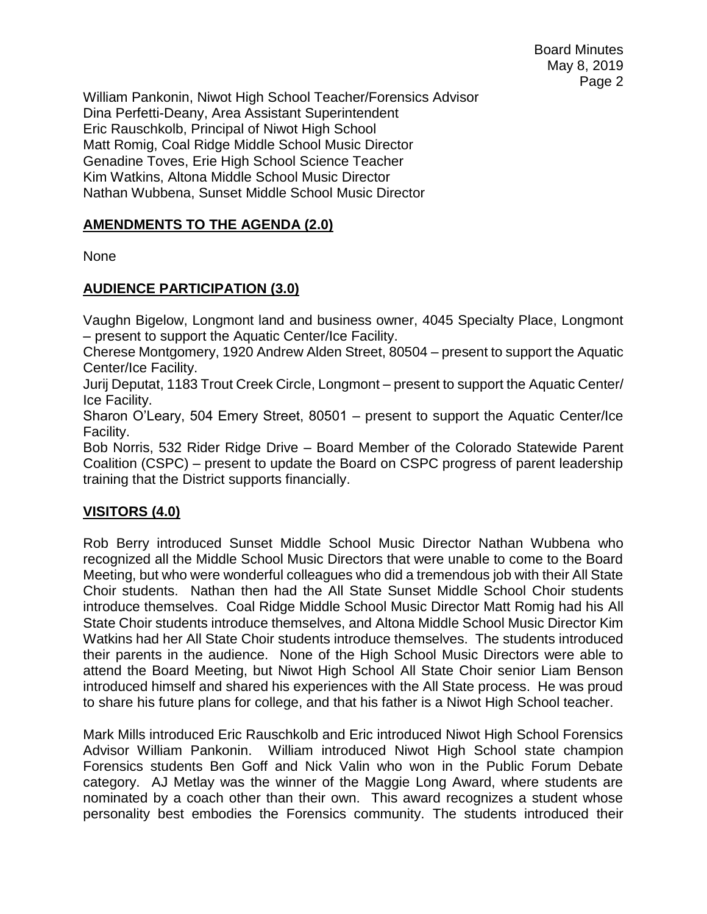Board Minutes May 8, 2019 Page 2

William Pankonin, Niwot High School Teacher/Forensics Advisor Dina Perfetti-Deany, Area Assistant Superintendent Eric Rauschkolb, Principal of Niwot High School Matt Romig, Coal Ridge Middle School Music Director Genadine Toves, Erie High School Science Teacher Kim Watkins, Altona Middle School Music Director Nathan Wubbena, Sunset Middle School Music Director

### **AMENDMENTS TO THE AGENDA (2.0)**

None

### **AUDIENCE PARTICIPATION (3.0)**

Vaughn Bigelow, Longmont land and business owner, 4045 Specialty Place, Longmont – present to support the Aquatic Center/Ice Facility.

Cherese Montgomery, 1920 Andrew Alden Street, 80504 – present to support the Aquatic Center/Ice Facility.

Jurij Deputat, 1183 Trout Creek Circle, Longmont – present to support the Aquatic Center/ Ice Facility.

Sharon O'Leary, 504 Emery Street, 80501 – present to support the Aquatic Center/Ice Facility.

Bob Norris, 532 Rider Ridge Drive – Board Member of the Colorado Statewide Parent Coalition (CSPC) – present to update the Board on CSPC progress of parent leadership training that the District supports financially.

### **VISITORS (4.0)**

Rob Berry introduced Sunset Middle School Music Director Nathan Wubbena who recognized all the Middle School Music Directors that were unable to come to the Board Meeting, but who were wonderful colleagues who did a tremendous job with their All State Choir students. Nathan then had the All State Sunset Middle School Choir students introduce themselves. Coal Ridge Middle School Music Director Matt Romig had his All State Choir students introduce themselves, and Altona Middle School Music Director Kim Watkins had her All State Choir students introduce themselves. The students introduced their parents in the audience. None of the High School Music Directors were able to attend the Board Meeting, but Niwot High School All State Choir senior Liam Benson introduced himself and shared his experiences with the All State process. He was proud to share his future plans for college, and that his father is a Niwot High School teacher.

Mark Mills introduced Eric Rauschkolb and Eric introduced Niwot High School Forensics Advisor William Pankonin. William introduced Niwot High School state champion Forensics students Ben Goff and Nick Valin who won in the Public Forum Debate category. AJ Metlay was the winner of the Maggie Long Award, where students are nominated by a coach other than their own. This award recognizes a student whose personality best embodies the Forensics community. The students introduced their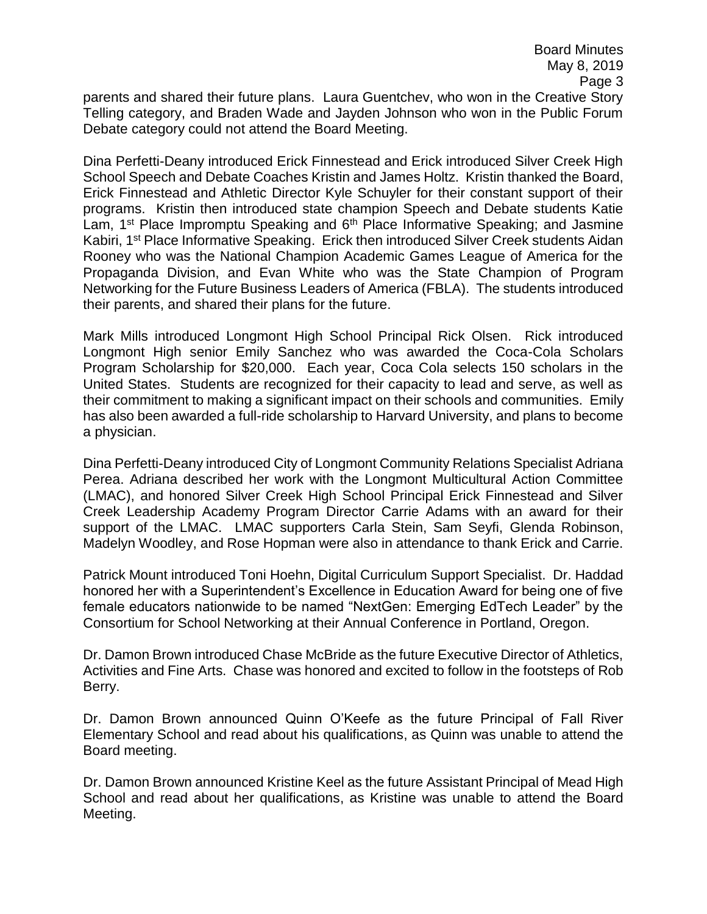parents and shared their future plans. Laura Guentchev, who won in the Creative Story Telling category, and Braden Wade and Jayden Johnson who won in the Public Forum Debate category could not attend the Board Meeting.

Dina Perfetti-Deany introduced Erick Finnestead and Erick introduced Silver Creek High School Speech and Debate Coaches Kristin and James Holtz. Kristin thanked the Board, Erick Finnestead and Athletic Director Kyle Schuyler for their constant support of their programs. Kristin then introduced state champion Speech and Debate students Katie Lam, 1<sup>st</sup> Place Impromptu Speaking and 6<sup>th</sup> Place Informative Speaking; and Jasmine Kabiri, 1<sup>st</sup> Place Informative Speaking. Erick then introduced Silver Creek students Aidan Rooney who was the National Champion Academic Games League of America for the Propaganda Division, and Evan White who was the State Champion of Program Networking for the Future Business Leaders of America (FBLA). The students introduced their parents, and shared their plans for the future.

Mark Mills introduced Longmont High School Principal Rick Olsen. Rick introduced Longmont High senior Emily Sanchez who was awarded the Coca-Cola Scholars Program Scholarship for \$20,000. Each year, Coca Cola selects 150 scholars in the United States. Students are recognized for their capacity to lead and serve, as well as their commitment to making a significant impact on their schools and communities. Emily has also been awarded a full-ride scholarship to Harvard University, and plans to become a physician.

Dina Perfetti-Deany introduced City of Longmont Community Relations Specialist Adriana Perea. Adriana described her work with the Longmont Multicultural Action Committee (LMAC), and honored Silver Creek High School Principal Erick Finnestead and Silver Creek Leadership Academy Program Director Carrie Adams with an award for their support of the LMAC. LMAC supporters Carla Stein, Sam Seyfi, Glenda Robinson, Madelyn Woodley, and Rose Hopman were also in attendance to thank Erick and Carrie.

Patrick Mount introduced Toni Hoehn, Digital Curriculum Support Specialist. Dr. Haddad honored her with a Superintendent's Excellence in Education Award for being one of five female educators nationwide to be named "NextGen: Emerging EdTech Leader" by the Consortium for School Networking at their Annual Conference in Portland, Oregon.

Dr. Damon Brown introduced Chase McBride as the future Executive Director of Athletics, Activities and Fine Arts. Chase was honored and excited to follow in the footsteps of Rob Berry.

Dr. Damon Brown announced Quinn O'Keefe as the future Principal of Fall River Elementary School and read about his qualifications, as Quinn was unable to attend the Board meeting.

Dr. Damon Brown announced Kristine Keel as the future Assistant Principal of Mead High School and read about her qualifications, as Kristine was unable to attend the Board Meeting.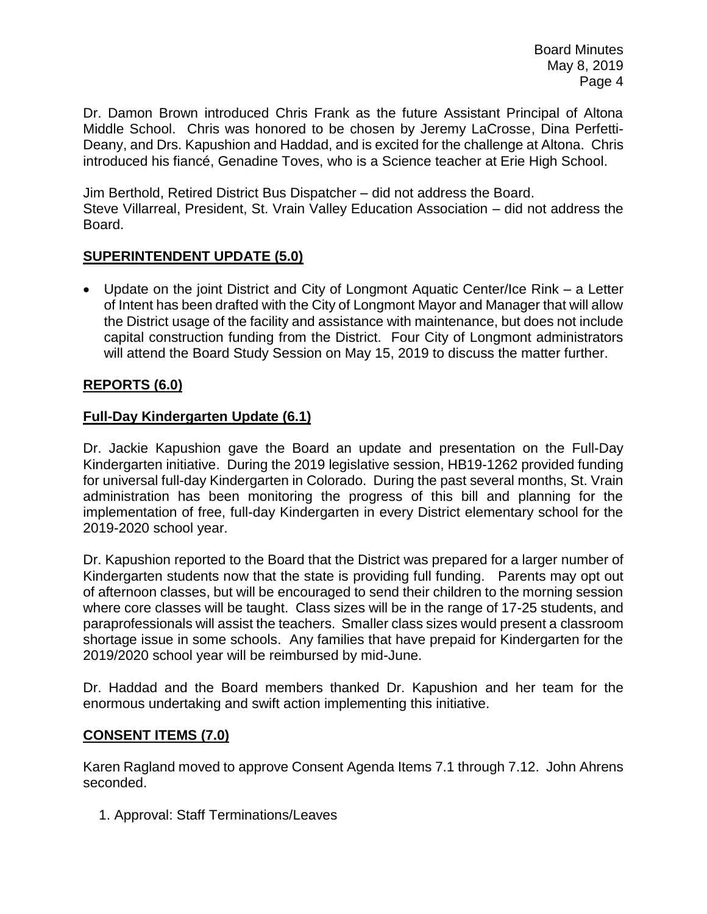Dr. Damon Brown introduced Chris Frank as the future Assistant Principal of Altona Middle School. Chris was honored to be chosen by Jeremy LaCrosse, Dina Perfetti-Deany, and Drs. Kapushion and Haddad, and is excited for the challenge at Altona. Chris introduced his fiancé, Genadine Toves, who is a Science teacher at Erie High School.

Jim Berthold, Retired District Bus Dispatcher – did not address the Board. Steve Villarreal, President, St. Vrain Valley Education Association – did not address the Board.

# **SUPERINTENDENT UPDATE (5.0)**

 Update on the joint District and City of Longmont Aquatic Center/Ice Rink – a Letter of Intent has been drafted with the City of Longmont Mayor and Manager that will allow the District usage of the facility and assistance with maintenance, but does not include capital construction funding from the District. Four City of Longmont administrators will attend the Board Study Session on May 15, 2019 to discuss the matter further.

# **REPORTS (6.0)**

## **Full-Day Kindergarten Update (6.1)**

Dr. Jackie Kapushion gave the Board an update and presentation on the Full-Day Kindergarten initiative. During the 2019 legislative session, HB19-1262 provided funding for universal full-day Kindergarten in Colorado. During the past several months, St. Vrain administration has been monitoring the progress of this bill and planning for the implementation of free, full-day Kindergarten in every District elementary school for the 2019-2020 school year.

Dr. Kapushion reported to the Board that the District was prepared for a larger number of Kindergarten students now that the state is providing full funding. Parents may opt out of afternoon classes, but will be encouraged to send their children to the morning session where core classes will be taught. Class sizes will be in the range of 17-25 students, and paraprofessionals will assist the teachers. Smaller class sizes would present a classroom shortage issue in some schools. Any families that have prepaid for Kindergarten for the 2019/2020 school year will be reimbursed by mid-June.

Dr. Haddad and the Board members thanked Dr. Kapushion and her team for the enormous undertaking and swift action implementing this initiative.

## **CONSENT ITEMS (7.0)**

Karen Ragland moved to approve Consent Agenda Items 7.1 through 7.12. John Ahrens seconded.

1. Approval: Staff Terminations/Leaves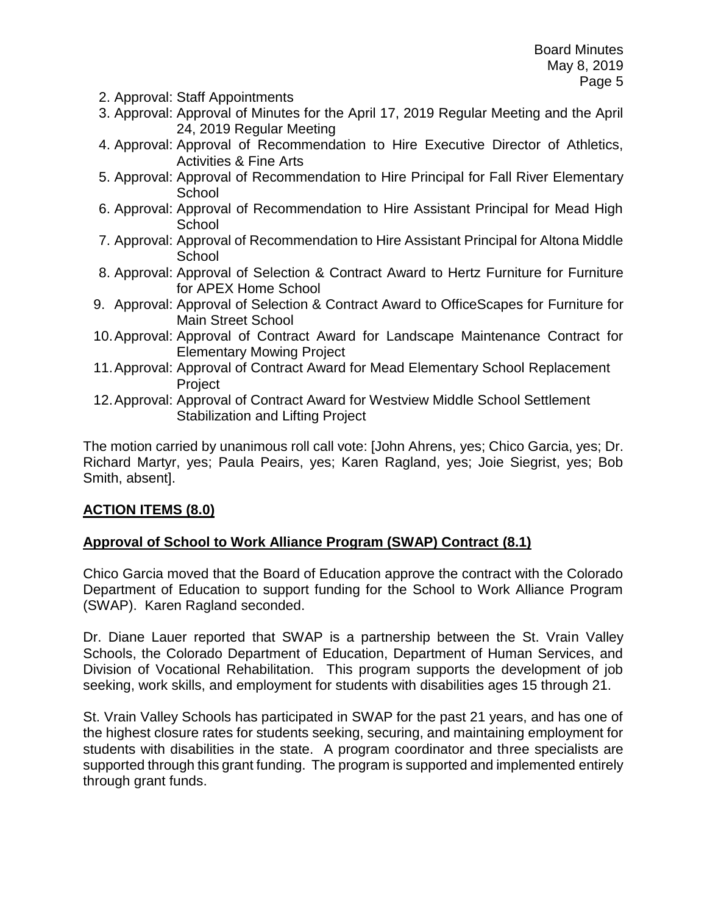- 2. Approval: Staff Appointments
- 3. Approval: Approval of Minutes for the April 17, 2019 Regular Meeting and the April 24, 2019 Regular Meeting
- 4. Approval: Approval of Recommendation to Hire Executive Director of Athletics, Activities & Fine Arts
- 5. Approval: Approval of Recommendation to Hire Principal for Fall River Elementary **School**
- 6. Approval: Approval of Recommendation to Hire Assistant Principal for Mead High **School**
- 7. Approval: Approval of Recommendation to Hire Assistant Principal for Altona Middle **School**
- 8. Approval: Approval of Selection & Contract Award to Hertz Furniture for Furniture for APEX Home School
- 9. Approval: Approval of Selection & Contract Award to OfficeScapes for Furniture for Main Street School
- 10.Approval: Approval of Contract Award for Landscape Maintenance Contract for Elementary Mowing Project
- 11.Approval: Approval of Contract Award for Mead Elementary School Replacement **Project**
- 12.Approval: Approval of Contract Award for Westview Middle School Settlement Stabilization and Lifting Project

The motion carried by unanimous roll call vote: [John Ahrens, yes; Chico Garcia, yes; Dr. Richard Martyr, yes; Paula Peairs, yes; Karen Ragland, yes; Joie Siegrist, yes; Bob Smith, absent].

## **ACTION ITEMS (8.0)**

## **Approval of School to Work Alliance Program (SWAP) Contract (8.1)**

Chico Garcia moved that the Board of Education approve the contract with the Colorado Department of Education to support funding for the School to Work Alliance Program (SWAP). Karen Ragland seconded.

Dr. Diane Lauer reported that SWAP is a partnership between the St. Vrain Valley Schools, the Colorado Department of Education, Department of Human Services, and Division of Vocational Rehabilitation. This program supports the development of job seeking, work skills, and employment for students with disabilities ages 15 through 21.

St. Vrain Valley Schools has participated in SWAP for the past 21 years, and has one of the highest closure rates for students seeking, securing, and maintaining employment for students with disabilities in the state. A program coordinator and three specialists are supported through this grant funding. The program is supported and implemented entirely through grant funds.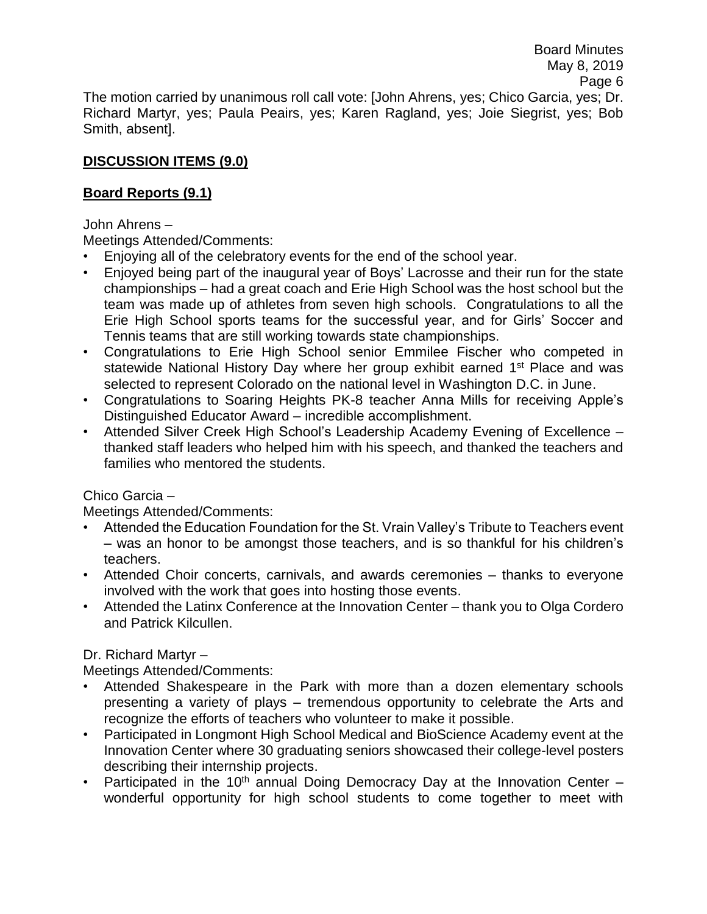The motion carried by unanimous roll call vote: [John Ahrens, yes; Chico Garcia, yes; Dr. Richard Martyr, yes; Paula Peairs, yes; Karen Ragland, yes; Joie Siegrist, yes; Bob Smith, absent].

### **DISCUSSION ITEMS (9.0)**

### **Board Reports (9.1)**

### John Ahrens –

Meetings Attended/Comments:

- Enjoying all of the celebratory events for the end of the school year.
- Enjoyed being part of the inaugural year of Boys' Lacrosse and their run for the state championships – had a great coach and Erie High School was the host school but the team was made up of athletes from seven high schools. Congratulations to all the Erie High School sports teams for the successful year, and for Girls' Soccer and Tennis teams that are still working towards state championships.
- Congratulations to Erie High School senior Emmilee Fischer who competed in statewide National History Day where her group exhibit earned 1<sup>st</sup> Place and was selected to represent Colorado on the national level in Washington D.C. in June.
- Congratulations to Soaring Heights PK-8 teacher Anna Mills for receiving Apple's Distinguished Educator Award – incredible accomplishment.
- Attended Silver Creek High School's Leadership Academy Evening of Excellence thanked staff leaders who helped him with his speech, and thanked the teachers and families who mentored the students.

### Chico Garcia –

Meetings Attended/Comments:

- Attended the Education Foundation for the St. Vrain Valley's Tribute to Teachers event – was an honor to be amongst those teachers, and is so thankful for his children's teachers.
- Attended Choir concerts, carnivals, and awards ceremonies thanks to everyone involved with the work that goes into hosting those events.
- Attended the Latinx Conference at the Innovation Center thank you to Olga Cordero and Patrick Kilcullen.

### Dr. Richard Martyr –

Meetings Attended/Comments:

- Attended Shakespeare in the Park with more than a dozen elementary schools presenting a variety of plays – tremendous opportunity to celebrate the Arts and recognize the efforts of teachers who volunteer to make it possible.
- Participated in Longmont High School Medical and BioScience Academy event at the Innovation Center where 30 graduating seniors showcased their college-level posters describing their internship projects.
- Participated in the 10<sup>th</sup> annual Doing Democracy Day at the Innovation Center wonderful opportunity for high school students to come together to meet with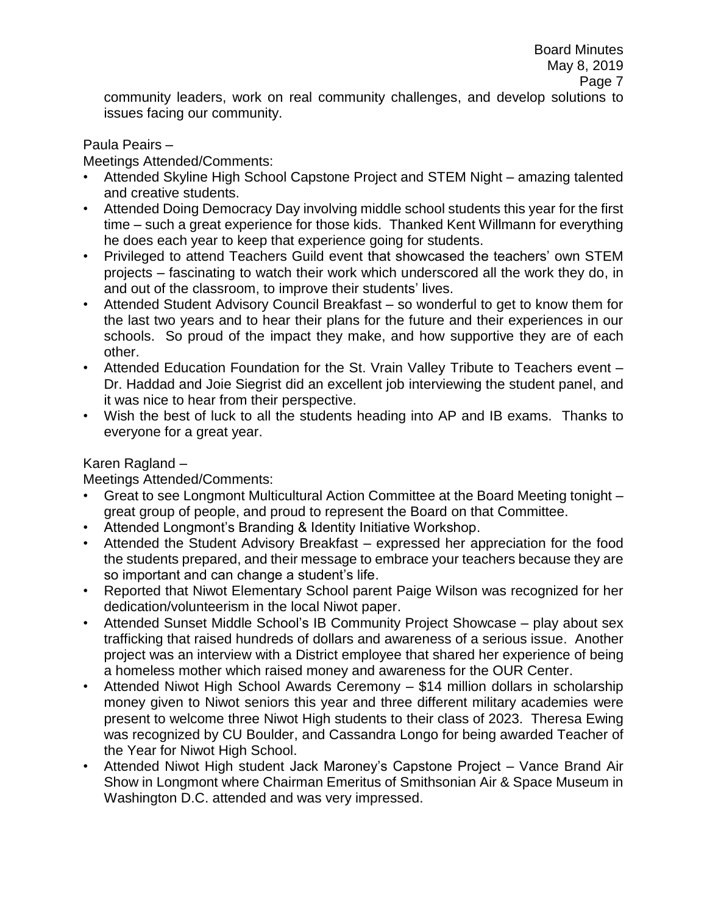community leaders, work on real community challenges, and develop solutions to issues facing our community.

#### Paula Peairs –

Meetings Attended/Comments:

- Attended Skyline High School Capstone Project and STEM Night amazing talented and creative students.
- Attended Doing Democracy Day involving middle school students this year for the first time – such a great experience for those kids. Thanked Kent Willmann for everything he does each year to keep that experience going for students.
- Privileged to attend Teachers Guild event that showcased the teachers' own STEM projects – fascinating to watch their work which underscored all the work they do, in and out of the classroom, to improve their students' lives.
- Attended Student Advisory Council Breakfast so wonderful to get to know them for the last two years and to hear their plans for the future and their experiences in our schools. So proud of the impact they make, and how supportive they are of each other.
- Attended Education Foundation for the St. Vrain Valley Tribute to Teachers event Dr. Haddad and Joie Siegrist did an excellent job interviewing the student panel, and it was nice to hear from their perspective.
- Wish the best of luck to all the students heading into AP and IB exams. Thanks to everyone for a great year.

### Karen Ragland –

Meetings Attended/Comments:

- Great to see Longmont Multicultural Action Committee at the Board Meeting tonight great group of people, and proud to represent the Board on that Committee.
- Attended Longmont's Branding & Identity Initiative Workshop.
- Attended the Student Advisory Breakfast expressed her appreciation for the food the students prepared, and their message to embrace your teachers because they are so important and can change a student's life.
- Reported that Niwot Elementary School parent Paige Wilson was recognized for her dedication/volunteerism in the local Niwot paper.
- Attended Sunset Middle School's IB Community Project Showcase play about sex trafficking that raised hundreds of dollars and awareness of a serious issue. Another project was an interview with a District employee that shared her experience of being a homeless mother which raised money and awareness for the OUR Center.
- Attended Niwot High School Awards Ceremony \$14 million dollars in scholarship money given to Niwot seniors this year and three different military academies were present to welcome three Niwot High students to their class of 2023. Theresa Ewing was recognized by CU Boulder, and Cassandra Longo for being awarded Teacher of the Year for Niwot High School.
- Attended Niwot High student Jack Maroney's Capstone Project Vance Brand Air Show in Longmont where Chairman Emeritus of Smithsonian Air & Space Museum in Washington D.C. attended and was very impressed.